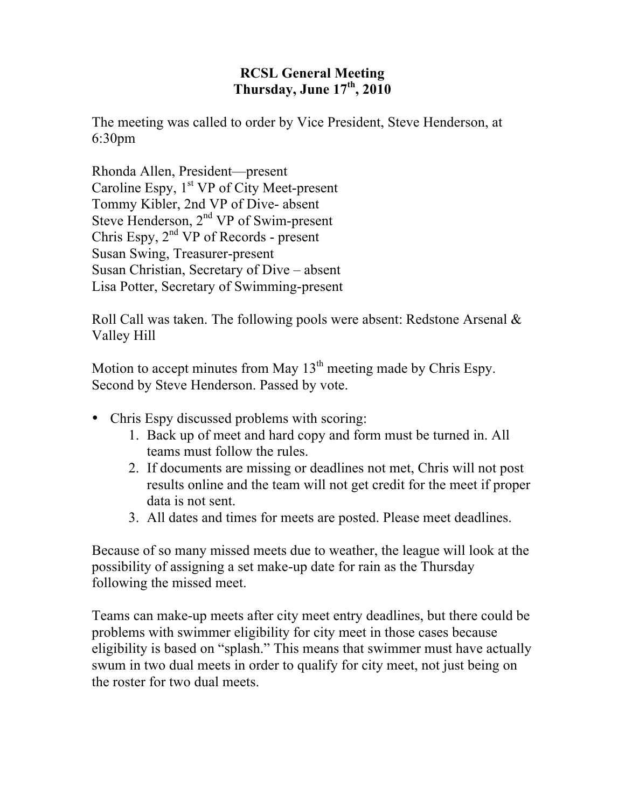## **RCSL General Meeting Thursday, June 17th, 2010**

The meeting was called to order by Vice President, Steve Henderson, at 6:30pm

Rhonda Allen, President—present Caroline Espy,  $1<sup>st</sup> VP$  of City Meet-present Tommy Kibler, 2nd VP of Dive- absent Steve Henderson,  $2<sup>nd</sup> VP$  of Swim-present Chris Espy,  $2<sup>nd</sup> VP$  of Records - present Susan Swing, Treasurer-present Susan Christian, Secretary of Dive – absent Lisa Potter, Secretary of Swimming-present

Roll Call was taken. The following pools were absent: Redstone Arsenal & Valley Hill

Motion to accept minutes from May  $13<sup>th</sup>$  meeting made by Chris Espy. Second by Steve Henderson. Passed by vote.

- Chris Espy discussed problems with scoring:
	- 1. Back up of meet and hard copy and form must be turned in. All teams must follow the rules.
	- 2. If documents are missing or deadlines not met, Chris will not post results online and the team will not get credit for the meet if proper data is not sent.
	- 3. All dates and times for meets are posted. Please meet deadlines.

Because of so many missed meets due to weather, the league will look at the possibility of assigning a set make-up date for rain as the Thursday following the missed meet.

Teams can make-up meets after city meet entry deadlines, but there could be problems with swimmer eligibility for city meet in those cases because eligibility is based on "splash." This means that swimmer must have actually swum in two dual meets in order to qualify for city meet, not just being on the roster for two dual meets.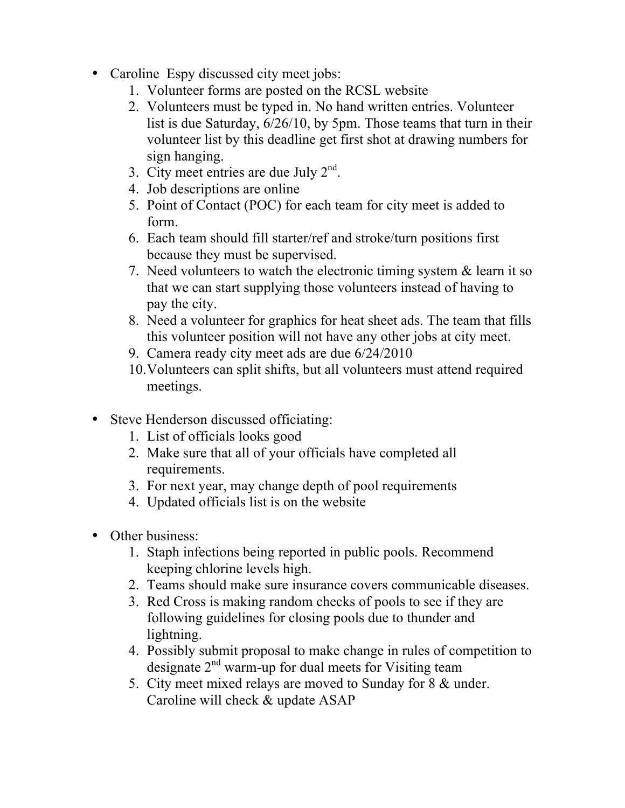- Caroline Espy discussed city meet jobs:
	- 1. Volunteer forms are posted on the RCSL website
	- 2. Volunteers must be typed in. No hand written entries. Volunteer list is due Saturday, 6/26/10, by 5pm. Those teams that turn in their volunteer list by this deadline get first shot at drawing numbers for sign hanging.
	- 3. City meet entries are due July  $2<sup>nd</sup>$ .
	- 4. Job descriptions are online
	- 5. Point of Contact (POC) for each team for city meet is added to form.
	- 6. Each team should fill starter/ref and stroke/turn positions first because they must be supervised.
	- 7. Need volunteers to watch the electronic timing system & learn it so that we can start supplying those volunteers instead of having to pay the city.
	- 8. Need a volunteer for graphics for heat sheet ads. The team that fills this volunteer position will not have any other jobs at city meet.
	- 9. Camera ready city meet ads are due 6/24/2010
	- 10.Volunteers can split shifts, but all volunteers must attend required meetings.
- Steve Henderson discussed officiating:
	- 1. List of officials looks good
	- 2. Make sure that all of your officials have completed all requirements.
	- 3. For next year, may change depth of pool requirements
	- 4. Updated officials list is on the website
- Other business:
	- 1. Staph infections being reported in public pools. Recommend keeping chlorine levels high.
	- 2. Teams should make sure insurance covers communicable diseases.
	- 3. Red Cross is making random checks of pools to see if they are following guidelines for closing pools due to thunder and lightning.
	- 4. Possibly submit proposal to make change in rules of competition to designate 2<sup>nd</sup> warm-up for dual meets for Visiting team
	- 5. City meet mixed relays are moved to Sunday for 8 & under. Caroline will check & update ASAP